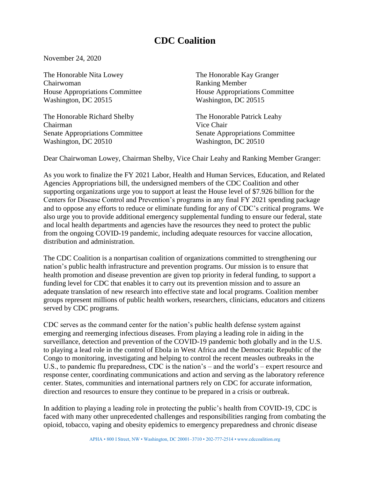## **CDC Coalition**

November 24, 2020

The Honorable Nita Lowey The Honorable Kay Granger Chairwoman Ranking Member House Appropriations Committee House Appropriations Committee Washington, DC 20515 Washington, DC 20515

The Honorable Richard Shelby The Honorable Patrick Leahy Chairman Vice Chair Senate Appropriations Committee Senate Appropriations Committee Washington, DC 20510 Washington, DC 20510

Dear Chairwoman Lowey, Chairman Shelby, Vice Chair Leahy and Ranking Member Granger:

As you work to finalize the FY 2021 Labor, Health and Human Services, Education, and Related Agencies Appropriations bill, the undersigned members of the CDC Coalition and other supporting organizations urge you to support at least the House level of \$7.926 billion for the Centers for Disease Control and Prevention's programs in any final FY 2021 spending package and to oppose any efforts to reduce or eliminate funding for any of CDC's critical programs. We also urge you to provide additional emergency supplemental funding to ensure our federal, state and local health departments and agencies have the resources they need to protect the public from the ongoing COVID-19 pandemic, including adequate resources for vaccine allocation, distribution and administration.

The CDC Coalition is a nonpartisan coalition of organizations committed to strengthening our nation's public health infrastructure and prevention programs. Our mission is to ensure that health promotion and disease prevention are given top priority in federal funding, to support a funding level for CDC that enables it to carry out its prevention mission and to assure an adequate translation of new research into effective state and local programs. Coalition member groups represent millions of public health workers, researchers, clinicians, educators and citizens served by CDC programs.

CDC serves as the command center for the nation's public health defense system against emerging and reemerging infectious diseases. From playing a leading role in aiding in the surveillance, detection and prevention of the COVID-19 pandemic both globally and in the U.S. to playing a lead role in the control of Ebola in West Africa and the Democratic Republic of the Congo to monitoring, investigating and helping to control the recent measles outbreaks in the U.S., to pandemic flu preparedness, CDC is the nation's – and the world's – expert resource and response center, coordinating communications and action and serving as the laboratory reference center. States, communities and international partners rely on CDC for accurate information, direction and resources to ensure they continue to be prepared in a crisis or outbreak.

In addition to playing a leading role in protecting the public's health from COVID-19, CDC is faced with many other unprecedented challenges and responsibilities ranging from combating the opioid, tobacco, vaping and obesity epidemics to emergency preparedness and chronic disease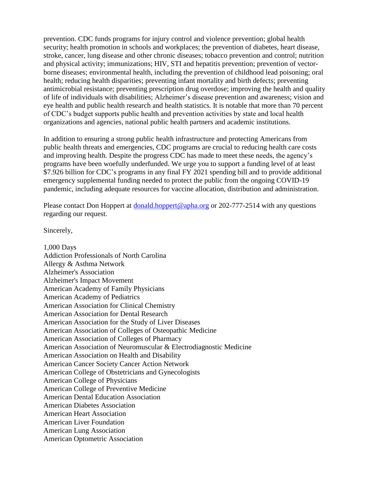prevention. CDC funds programs for injury control and violence prevention; global health security; health promotion in schools and workplaces; the prevention of diabetes, heart disease, stroke, cancer, lung disease and other chronic diseases; tobacco prevention and control; nutrition and physical activity; immunizations; HIV, STI and hepatitis prevention; prevention of vectorborne diseases; environmental health, including the prevention of childhood lead poisoning; oral health; reducing health disparities; preventing infant mortality and birth defects; preventing antimicrobial resistance; preventing prescription drug overdose; improving the health and quality of life of individuals with disabilities; Alzheimer's disease prevention and awareness; vision and eye health and public health research and health statistics. It is notable that more than 70 percent of CDC's budget supports public health and prevention activities by state and local health organizations and agencies, national public health partners and academic institutions.

In addition to ensuring a strong public health infrastructure and protecting Americans from public health threats and emergencies, CDC programs are crucial to reducing health care costs and improving health. Despite the progress CDC has made to meet these needs, the agency's programs have been woefully underfunded. We urge you to support a funding level of at least \$7.926 billion for CDC's programs in any final FY 2021 spending bill and to provide additional emergency supplemental funding needed to protect the public from the ongoing COVID-19 pandemic, including adequate resources for vaccine allocation, distribution and administration.

Please contact Don Hoppert at [donald.hoppert@apha.org](mailto:donald.hoppert@apha.org) or 202-777-2514 with any questions regarding our request.

Sincerely,

1,000 Days Addiction Professionals of North Carolina Allergy & Asthma Network Alzheimer's Association Alzheimer's Impact Movement American Academy of Family Physicians American Academy of Pediatrics American Association for Clinical Chemistry American Association for Dental Research American Association for the Study of Liver Diseases American Association of Colleges of Osteopathic Medicine American Association of Colleges of Pharmacy American Association of Neuromuscular & Electrodiagnostic Medicine American Association on Health and Disability American Cancer Society Cancer Action Network American College of Obstetricians and Gynecologists American College of Physicians American College of Preventive Medicine American Dental Education Association American Diabetes Association American Heart Association American Liver Foundation American Lung Association American Optometric Association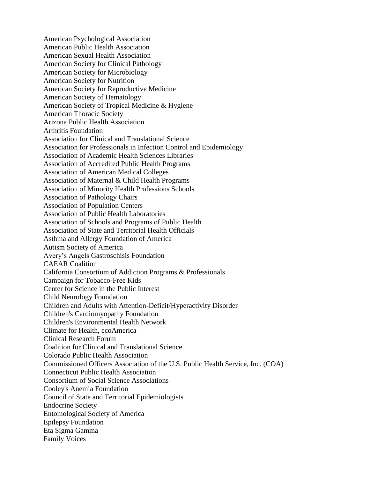American Psychological Association American Public Health Association American Sexual Health Association American Society for Clinical Pathology American Society for Microbiology American Society for Nutrition American Society for Reproductive Medicine American Society of Hematology American Society of Tropical Medicine & Hygiene American Thoracic Society Arizona Public Health Association Arthritis Foundation Association for Clinical and Translational Science Association for Professionals in Infection Control and Epidemiology Association of Academic Health Sciences Libraries Association of Accredited Public Health Programs Association of American Medical Colleges Association of Maternal & Child Health Programs Association of Minority Health Professions Schools Association of Pathology Chairs Association of Population Centers Association of Public Health Laboratories Association of Schools and Programs of Public Health Association of State and Territorial Health Officials Asthma and Allergy Foundation of America Autism Society of America Avery's Angels Gastroschisis Foundation CAEAR Coalition California Consortium of Addiction Programs & Professionals Campaign for Tobacco-Free Kids Center for Science in the Public Interest Child Neurology Foundation Children and Adults with Attention-Deficit/Hyperactivity Disorder Children's Cardiomyopathy Foundation Children's Environmental Health Network Climate for Health, ecoAmerica Clinical Research Forum Coalition for Clinical and Translational Science Colorado Public Health Association Commissioned Officers Association of the U.S. Public Health Service, Inc. (COA) Connecticut Public Health Association Consortium of Social Science Associations Cooley's Anemia Foundation Council of State and Territorial Epidemiologists Endocrine Society Entomological Society of America Epilepsy Foundation Eta Sigma Gamma Family Voices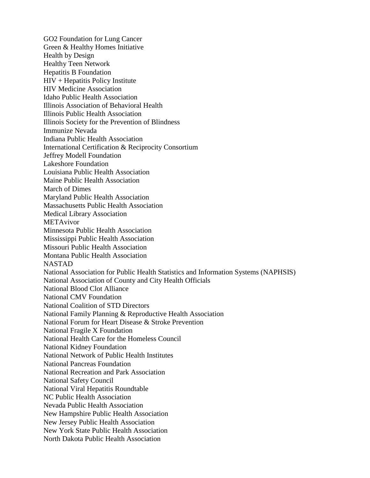GO2 Foundation for Lung Cancer Green & Healthy Homes Initiative Health by Design Healthy Teen Network Hepatitis B Foundation HIV + Hepatitis Policy Institute HIV Medicine Association Idaho Public Health Association Illinois Association of Behavioral Health Illinois Public Health Association Illinois Society for the Prevention of Blindness Immunize Nevada Indiana Public Health Association International Certification & Reciprocity Consortium Jeffrey Modell Foundation Lakeshore Foundation Louisiana Public Health Association Maine Public Health Association March of Dimes Maryland Public Health Association Massachusetts Public Health Association Medical Library Association METAvivor Minnesota Public Health Association Mississippi Public Health Association Missouri Public Health Association Montana Public Health Association NASTAD National Association for Public Health Statistics and Information Systems (NAPHSIS) National Association of County and City Health Officials National Blood Clot Alliance National CMV Foundation National Coalition of STD Directors National Family Planning & Reproductive Health Association National Forum for Heart Disease & Stroke Prevention National Fragile X Foundation National Health Care for the Homeless Council National Kidney Foundation National Network of Public Health Institutes National Pancreas Foundation National Recreation and Park Association National Safety Council National Viral Hepatitis Roundtable NC Public Health Association Nevada Public Health Association New Hampshire Public Health Association New Jersey Public Health Association New York State Public Health Association North Dakota Public Health Association